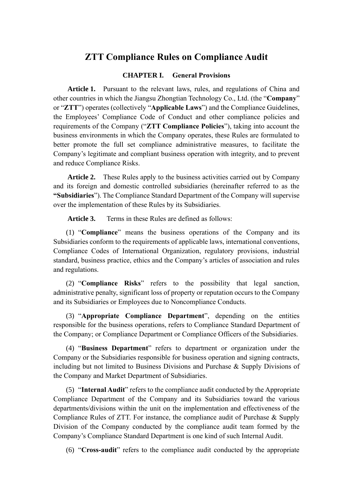## **ZTT Compliance Rules on Compliance Audit**

#### **CHAPTER I. General Provisions**

**Article 1.** Pursuant to the relevant laws, rules, and regulations of China and other countries in which the Jiangsu Zhongtian Technology Co., Ltd. (the "**Company**" or "**ZTT**") operates (collectively "**Applicable Laws**") and the Compliance Guidelines, the Employees' Compliance Code of Conduct and other compliance policies and requirements of the Company ("**ZTT Compliance Policies**"), taking into account the business environments in which the Company operates, these Rules are formulated to better promote the full set compliance administrative measures, to facilitate the Company's legitimate and compliant business operation with integrity, and to prevent and reduce Compliance Risks.

**Article 2.** These Rules apply to the business activities carried out by Company and its foreign and domestic controlled subsidiaries (hereinafter referred to as the **"Subsidiaries**"). The Compliance Standard Department of the Company will supervise over the implementation of these Rules by its Subsidiaries.

**Article 3.** Terms in these Rules are defined as follows:

(1) "**Compliance**" means the business operations of the Company and its Subsidiaries conform to the requirements of applicable laws, international conventions, Compliance Codes of International Organization, regulatory provisions, industrial standard, business practice, ethics and the Company's articles of association and rules and regulations.

(2) "**Compliance Risks**" refers to the possibility that legal sanction, administrative penalty, significant loss of property or reputation occurs to the Company and its Subsidiaries or Employees due to Noncompliance Conducts.

(3) "**Appropriate Compliance Department**", depending on the entities responsible for the business operations, refers to Compliance Standard Department of the Company; or Compliance Department or Compliance Officers of the Subsidiaries.

(4) "**Business Department**" refers to department or organization under the Company or the Subsidiaries responsible for business operation and signing contracts, including but not limited to Business Divisions and Purchase & Supply Divisions of the Company and Market Department of Subsidiaries.

(5) "**Internal Audit**" refers to the compliance audit conducted by the Appropriate Compliance Department of the Company and its Subsidiaries toward the various departments/divisions within the unit on the implementation and effectiveness of the Compliance Rules of ZTT. For instance, the compliance audit of Purchase & Supply Division of the Company conducted by the compliance audit team formed by the Company's Compliance Standard Department is one kind of such Internal Audit.

(6) "**Cross-audit**" refers to the compliance audit conducted by the appropriate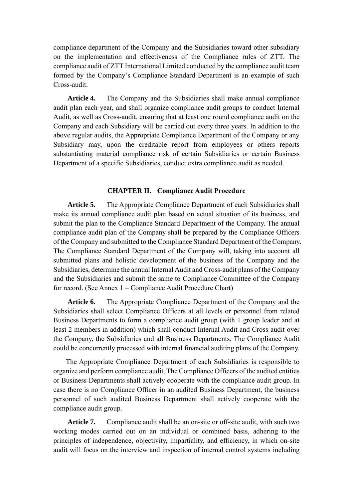compliance department of the Company and the Subsidiaries toward other subsidiary on the implementation and effectiveness of the Compliance rules of ZTT. The compliance audit of ZTT International Limited conducted by the compliance audit team formed by the Company's Compliance Standard Department is an example of such Cross-audit.

**Article 4.** The Company and the Subsidiaries shall make annual compliance audit plan each year, and shall organize compliance audit groups to conduct Internal Audit, as well as Cross-audit, ensuring that at least one round compliance audit on the Company and each Subsidiary will be carried out every three years. In addition to the above regular audits, the Appropriate Compliance Department of the Company or any Subsidiary may, upon the creditable report from employees or others reports substantiating material compliance risk of certain Subsidiaries or certain Business Department of a specific Subsidiaries, conduct extra compliance audit as needed.

#### **CHAPTER II. Compliance Audit Procedure**

**Article 5.** The Appropriate Compliance Department of each Subsidiaries shall make its annual compliance audit plan based on actual situation of its business, and submit the plan to the Compliance Standard Department of the Company. The annual compliance audit plan of the Company shall be prepared by the Compliance Officers of the Company and submitted to the Compliance Standard Department of the Company. The Compliance Standard Department of the Company will, taking into account all submitted plans and holistic development of the business of the Company and the Subsidiaries, determine the annual Internal Audit and Cross-audit plans of the Company and the Subsidiaries and submit the same to Compliance Committee of the Company for record. (See Annex 1 – Compliance Audit Procedure Chart)

**Article 6.** The Appropriate Compliance Department of the Company and the Subsidiaries shall select Compliance Officers at all levels or personnel from related Business Departments to form a compliance audit group (with 1 group leader and at least 2 members in addition) which shall conduct Internal Audit and Cross-audit over the Company, the Subsidiaries and all Business Departments. The Compliance Audit could be concurrently processed with internal financial auditing plans of the Company.

The Appropriate Compliance Department of each Subsidiaries is responsible to organize and perform compliance audit. The Compliance Officers of the audited entities or Business Departments shall actively cooperate with the compliance audit group. In case there is no Compliance Officer in an audited Business Department, the business personnel of such audited Business Department shall actively cooperate with the compliance audit group.

**Article 7.** Compliance audit shall be an on-site or off-site audit, with such two working modes carried out on an individual or combined basis, adhering to the principles of independence, objectivity, impartiality, and efficiency, in which on-site audit will focus on the interview and inspection of internal control systems including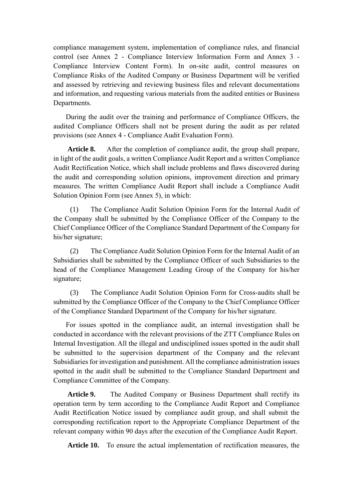compliance management system, implementation of compliance rules, and financial control (see Annex 2 - Compliance Interview Information Form and Annex 3 - Compliance Interview Content Form). In on-site audit, control measures on Compliance Risks of the Audited Company or Business Department will be verified and assessed by retrieving and reviewing business files and relevant documentations and information, and requesting various materials from the audited entities or Business Departments.

During the audit over the training and performance of Compliance Officers, the audited Compliance Officers shall not be present during the audit as per related provisions (see Annex 4 - Compliance Audit Evaluation Form).

Article 8. After the completion of compliance audit, the group shall prepare, in light of the audit goals, a written Compliance Audit Report and a written Compliance Audit Rectification Notice, which shall include problems and flaws discovered during the audit and corresponding solution opinions, improvement direction and primary measures. The written Compliance Audit Report shall include a Compliance Audit Solution Opinion Form (see Annex 5), in which:

(1) The Compliance Audit Solution Opinion Form for the Internal Audit of the Company shall be submitted by the Compliance Officer of the Company to the Chief Compliance Officer of the Compliance Standard Department of the Company for his/her signature;

(2) The Compliance Audit Solution Opinion Form for the Internal Audit of an Subsidiaries shall be submitted by the Compliance Officer of such Subsidiaries to the head of the Compliance Management Leading Group of the Company for his/her signature;

(3) The Compliance Audit Solution Opinion Form for Cross-audits shall be submitted by the Compliance Officer of the Company to the Chief Compliance Officer of the Compliance Standard Department of the Company for his/her signature.

For issues spotted in the compliance audit, an internal investigation shall be conducted in accordance with the relevant provisions of the ZTT Compliance Rules on Internal Investigation. All the illegal and undisciplined issues spotted in the audit shall be submitted to the supervision department of the Company and the relevant Subsidiaries for investigation and punishment. All the compliance administration issues spotted in the audit shall be submitted to the Compliance Standard Department and Compliance Committee of the Company.

**Article 9.** The Audited Company or Business Department shall rectify its operation term by term according to the Compliance Audit Report and Compliance Audit Rectification Notice issued by compliance audit group, and shall submit the corresponding rectification report to the Appropriate Compliance Department of the relevant company within 90 days after the execution of the Compliance Audit Report.

**Article 10.** To ensure the actual implementation of rectification measures, the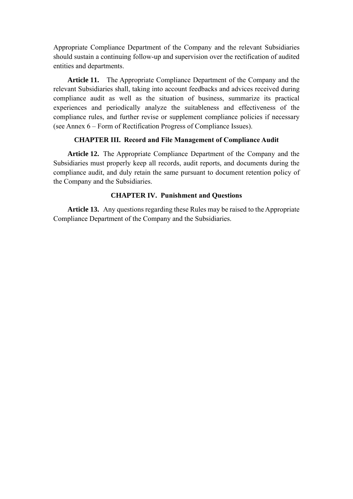Appropriate Compliance Department of the Company and the relevant Subsidiaries should sustain a continuing follow-up and supervision over the rectification of audited entities and departments.

**Article 11.** The Appropriate Compliance Department of the Company and the relevant Subsidiaries shall, taking into account feedbacks and advices received during compliance audit as well as the situation of business, summarize its practical experiences and periodically analyze the suitableness and effectiveness of the compliance rules, and further revise or supplement compliance policies if necessary (see Annex 6 – Form of Rectification Progress of Compliance Issues).

#### **CHAPTER III. Record and File Management of Compliance Audit**

**Article 12.** The Appropriate Compliance Department of the Company and the Subsidiaries must properly keep all records, audit reports, and documents during the compliance audit, and duly retain the same pursuant to document retention policy of the Company and the Subsidiaries.

#### **CHAPTER IV. Punishment and Questions**

**Article 13.** Any questions regarding these Rules may be raised to the Appropriate Compliance Department of the Company and the Subsidiaries.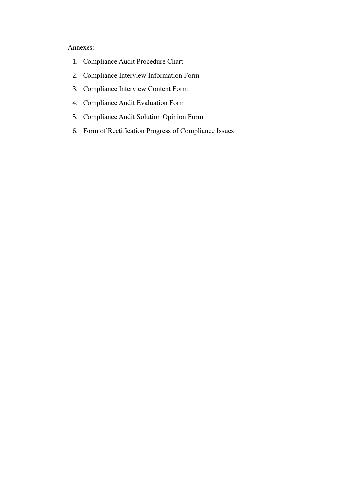## Annexes:

- 1. Compliance Audit Procedure Chart
- 2. Compliance Interview Information Form
- 3. Compliance Interview Content Form
- 4. Compliance Audit Evaluation Form
- 5. Compliance Audit Solution Opinion Form
- 6. Form of Rectification Progress of Compliance Issues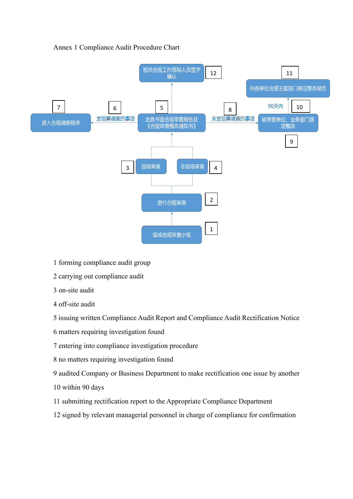

## Annex 1 Compliance Audit Procedure Chart

- 1 forming compliance audit group
- 2 carrying out compliance audit
- 3 on-site audit
- 4 off-site audit
- 5 issuing written Compliance Audit Report and Compliance Audit Rectification Notice
- 6 matters requiring investigation found
- 7 entering into compliance investigation procedure
- 8 no matters requiring investigation found
- 9 audited Company or Business Department to make rectification one issue by another
- 10 within 90 days
- 11 submitting rectification report to the Appropriate Compliance Department
- 12 signed by relevant managerial personnel in charge of compliance for confirmation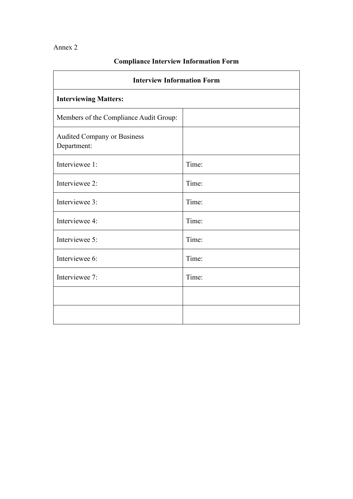## Annex 2

 $\mathbf{r}$ 

## **Compliance Interview Information Form**

| <b>Interview Information Form</b>                 |       |  |  |  |  |
|---------------------------------------------------|-------|--|--|--|--|
| <b>Interviewing Matters:</b>                      |       |  |  |  |  |
| Members of the Compliance Audit Group:            |       |  |  |  |  |
| <b>Audited Company or Business</b><br>Department: |       |  |  |  |  |
| Interviewee 1:                                    | Time: |  |  |  |  |
| Interviewee 2:                                    | Time: |  |  |  |  |
| Interviewee 3:                                    | Time: |  |  |  |  |
| Interviewee 4:                                    | Time: |  |  |  |  |
| Interviewee 5:                                    | Time: |  |  |  |  |
| Interviewee 6:                                    | Time: |  |  |  |  |
| Interviewee 7:                                    | Time: |  |  |  |  |
|                                                   |       |  |  |  |  |
|                                                   |       |  |  |  |  |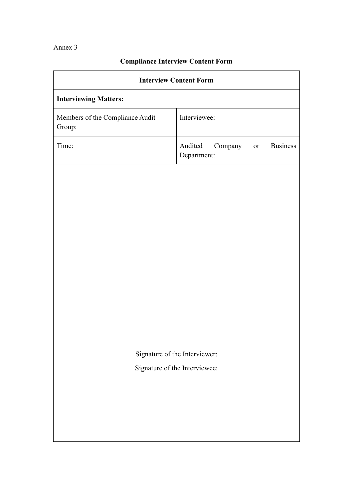Annex 3

| <b>Interview Content Form</b>             |                                                            |  |  |  |  |  |  |
|-------------------------------------------|------------------------------------------------------------|--|--|--|--|--|--|
| <b>Interviewing Matters:</b>              |                                                            |  |  |  |  |  |  |
| Members of the Compliance Audit<br>Group: | Interviewee:                                               |  |  |  |  |  |  |
| Time:                                     | <b>Business</b><br>Audited<br>Company<br>or<br>Department: |  |  |  |  |  |  |
|                                           |                                                            |  |  |  |  |  |  |
|                                           |                                                            |  |  |  |  |  |  |
|                                           |                                                            |  |  |  |  |  |  |
|                                           |                                                            |  |  |  |  |  |  |
|                                           |                                                            |  |  |  |  |  |  |
|                                           |                                                            |  |  |  |  |  |  |
|                                           |                                                            |  |  |  |  |  |  |
|                                           |                                                            |  |  |  |  |  |  |
|                                           |                                                            |  |  |  |  |  |  |
|                                           | Signature of the Interviewer:                              |  |  |  |  |  |  |
|                                           | Signature of the Interviewee:                              |  |  |  |  |  |  |
|                                           |                                                            |  |  |  |  |  |  |
|                                           |                                                            |  |  |  |  |  |  |
|                                           |                                                            |  |  |  |  |  |  |
|                                           |                                                            |  |  |  |  |  |  |

# **Compliance Interview Content Form**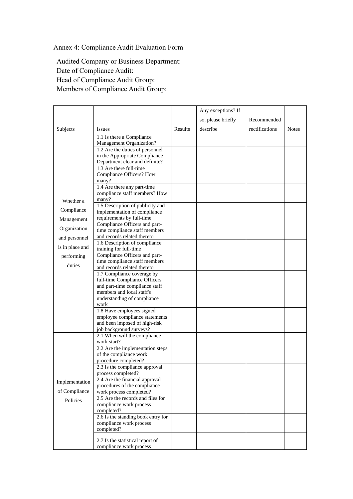Annex 4: Compliance Audit Evaluation Form

Audited Company or Business Department: Date of Compliance Audit: Head of Compliance Audit Group: Members of Compliance Audit Group:

|                 |                                                                  |         | Any exceptions? If |                |              |
|-----------------|------------------------------------------------------------------|---------|--------------------|----------------|--------------|
|                 |                                                                  |         | so, please briefly | Recommended    |              |
| Subjects        | <b>Issues</b>                                                    | Results | describe           | rectifications | <b>Notes</b> |
|                 | 1.1 Is there a Compliance                                        |         |                    |                |              |
|                 | Management Organization?                                         |         |                    |                |              |
|                 | 1.2 Are the duties of personnel                                  |         |                    |                |              |
|                 | in the Appropriate Compliance                                    |         |                    |                |              |
|                 | Department clear and definite?<br>1.3 Are there full-time        |         |                    |                |              |
|                 | Compliance Officers? How                                         |         |                    |                |              |
|                 | many?                                                            |         |                    |                |              |
|                 | 1.4 Are there any part-time                                      |         |                    |                |              |
|                 | compliance staff members? How                                    |         |                    |                |              |
| Whether a       | many?                                                            |         |                    |                |              |
| Compliance      | 1.5 Description of publicity and<br>implementation of compliance |         |                    |                |              |
| Management      | requirements by full-time                                        |         |                    |                |              |
|                 | Compliance Officers and part-                                    |         |                    |                |              |
| Organization    | time compliance staff members                                    |         |                    |                |              |
| and personnel   | and records related thereto                                      |         |                    |                |              |
| is in place and | 1.6 Description of compliance<br>training for full-time          |         |                    |                |              |
| performing      | Compliance Officers and part-                                    |         |                    |                |              |
|                 | time compliance staff members                                    |         |                    |                |              |
| duties          | and records related thereto                                      |         |                    |                |              |
|                 | 1.7 Compliance coverage by                                       |         |                    |                |              |
|                 | full-time Compliance Officers<br>and part-time compliance staff  |         |                    |                |              |
|                 | members and local staff's                                        |         |                    |                |              |
|                 | understanding of compliance                                      |         |                    |                |              |
|                 | work                                                             |         |                    |                |              |
|                 | 1.8 Have employees signed                                        |         |                    |                |              |
|                 | employee compliance statements<br>and been imposed of high-risk  |         |                    |                |              |
|                 | job background surveys?                                          |         |                    |                |              |
|                 | 2.1 When will the compliance                                     |         |                    |                |              |
|                 | work start?                                                      |         |                    |                |              |
| Implementation  | 2.2 Are the implementation steps                                 |         |                    |                |              |
|                 | of the compliance work<br>procedure completed?                   |         |                    |                |              |
|                 | 2.3 Is the compliance approval                                   |         |                    |                |              |
|                 | process completed?                                               |         |                    |                |              |
|                 | 2.4 Are the financial approval                                   |         |                    |                |              |
|                 | procedures of the compliance                                     |         |                    |                |              |
| of Compliance   | work process completed?                                          |         |                    |                |              |
| Policies        | 2.5 Are the records and files for<br>compliance work process     |         |                    |                |              |
|                 | completed?                                                       |         |                    |                |              |
|                 | 2.6 Is the standing book entry for                               |         |                    |                |              |
|                 | compliance work process                                          |         |                    |                |              |
|                 | completed?                                                       |         |                    |                |              |
|                 | 2.7 Is the statistical report of                                 |         |                    |                |              |
|                 | compliance work process                                          |         |                    |                |              |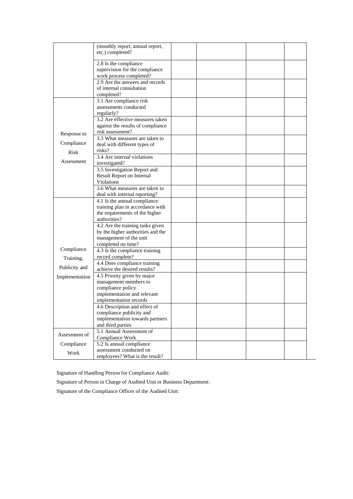|                | (monthly report, annual report,                                       |  |  |
|----------------|-----------------------------------------------------------------------|--|--|
|                | etc.) completed?                                                      |  |  |
|                | 2.8 Is the compliance                                                 |  |  |
|                | supervision for the compliance                                        |  |  |
|                | work process completed?                                               |  |  |
|                | 2.9 Are the answers and records<br>of internal consultation           |  |  |
|                | completed?                                                            |  |  |
|                | 3.1 Are compliance risk                                               |  |  |
|                | assessments conducted                                                 |  |  |
|                | regularly?                                                            |  |  |
|                | 3.2 Are effective measures taken<br>against the results of compliance |  |  |
|                | risk assessment?                                                      |  |  |
| Response to    | 3.3 What measures are taken to                                        |  |  |
| Compliance     | deal with different types of                                          |  |  |
| Risk           | risks?                                                                |  |  |
| Assessment     | 3.4 Are internal violations<br>investigated?                          |  |  |
|                | 3.5 Investigation Report and                                          |  |  |
|                | Result Report on Internal                                             |  |  |
|                | Violations                                                            |  |  |
|                | 3.6 What measures are taken to                                        |  |  |
|                | deal with internal reporting?<br>4.1 Is the annual compliance         |  |  |
|                | training plan in accordance with                                      |  |  |
|                | the requirements of the higher                                        |  |  |
|                | authorities?                                                          |  |  |
|                | 4.2 Are the training tasks given                                      |  |  |
|                | by the higher authorities and the<br>management of the unit           |  |  |
|                | completed on time?                                                    |  |  |
| Compliance     | $\overline{4.3}$ Is the compliance training                           |  |  |
| Training,      | record complete?                                                      |  |  |
| Publicity and  | 4.4 Does compliance training                                          |  |  |
|                | achieve the desired results?<br>4.5 Priority given by major           |  |  |
| Implementation | management members to                                                 |  |  |
|                | compliance policy                                                     |  |  |
|                | implementation and relevant                                           |  |  |
|                | implementation records                                                |  |  |
|                | 4.6 Description and effect of                                         |  |  |
|                | compliance publicity and<br>implementation towards partners           |  |  |
|                | and third parties                                                     |  |  |
|                | 5.1 Annual Assessment of                                              |  |  |
| Assessment of  | Compliance Work                                                       |  |  |
| Compliance     | 5.2 Is annual compliance                                              |  |  |
| Work           | assessment conducted on<br>employees? What is the result?             |  |  |
|                |                                                                       |  |  |

Signature of Handling Person for Compliance Audit:

Signature of Person in Charge of Audited Unit or Business Department:

Signature of the Compliance Officer of the Audited Unit: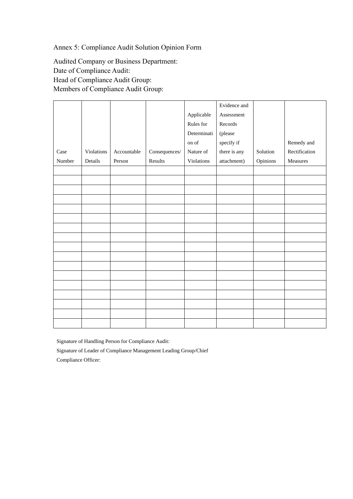Annex 5: Compliance Audit Solution Opinion Form

Audited Company or Business Department: Date of Compliance Audit: Head of Compliance Audit Group: Members of Compliance Audit Group:

|        |            |             |                      |             | Evidence and |          |               |
|--------|------------|-------------|----------------------|-------------|--------------|----------|---------------|
|        |            |             |                      | Applicable  | Assessment   |          |               |
|        |            |             |                      | Rules for   | Records      |          |               |
|        |            |             |                      | Determinati | (please      |          |               |
|        |            |             |                      | on of $\,$  | specify if   |          | Remedy and    |
| Case   | Violations | Accountable | $\rm{Consequences}/$ | Nature of   | there is any | Solution | Rectification |
| Number | Details    | Person      | Results              | Violations  | attachment)  | Opinions | Measures      |
|        |            |             |                      |             |              |          |               |
|        |            |             |                      |             |              |          |               |
|        |            |             |                      |             |              |          |               |
|        |            |             |                      |             |              |          |               |
|        |            |             |                      |             |              |          |               |
|        |            |             |                      |             |              |          |               |
|        |            |             |                      |             |              |          |               |
|        |            |             |                      |             |              |          |               |
|        |            |             |                      |             |              |          |               |
|        |            |             |                      |             |              |          |               |
|        |            |             |                      |             |              |          |               |
|        |            |             |                      |             |              |          |               |
|        |            |             |                      |             |              |          |               |
|        |            |             |                      |             |              |          |               |
|        |            |             |                      |             |              |          |               |
|        |            |             |                      |             |              |          |               |
|        |            |             |                      |             |              |          |               |
|        |            |             |                      |             |              |          |               |

Signature of Handling Person for Compliance Audit: Signature of Leader of Compliance Management Leading Group/Chief

Compliance Officer: